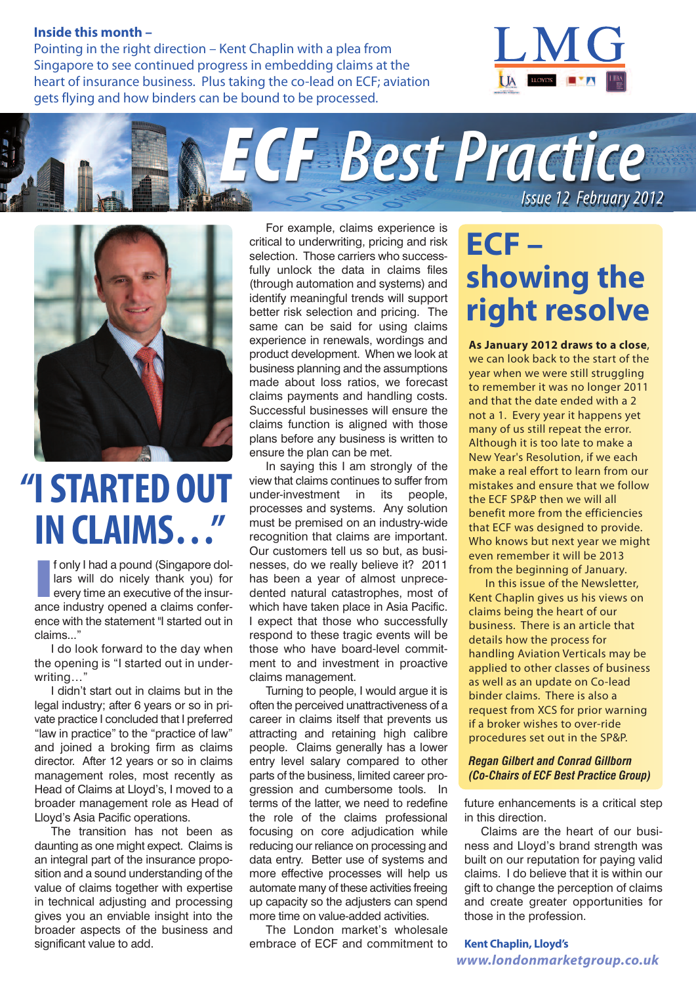#### **Inside this month –**

Pointing in the right direction – Kent Chaplin with a plea from Singapore to see continued progress in embedding claims at the heart of insurance business. Plus taking the co-lead on ECF; aviation gets flying and how binders can be bound to be processed.







## **"ISTARTED OUT INCLAIMS… "**

**I** fonly I had a pound (Singapore dollars will do nicely thank you) for every time an executive of the insurance industry opened a claims conferf only I had a pound (Singapore dollars will do nicely thank you) for every time an executive of the insurence with the statement "I started out in claims."

I do look forward to the day when the opening is "I started out in underwriting…"

I didn't start out in claims but in the legal industry; after 6 years or so in private practice I concluded that I preferred "law in practice" to the "practice of law" and joined a broking firm as claims director. After 12 years or so in claims management roles, most recently as Head of Claims at Lloyd's, I moved to a broader management role as Head of Lloyd's Asia Pacific operations.

The transition has not been as daunting as one might expect. Claims is an integral part of the insurance proposition and a sound understanding of the value of claims together with expertise in technical adjusting and processing gives you an enviable insight into the broader aspects of the business and significant value to add.

For example, claims experience is critical to underwriting, pricing and risk selection. Those carriers who successfully unlock the data in claims files (through automation and systems) and identify meaningful trends will support better risk selection and pricing. The same can be said for using claims experience in renewals, wordings and product development. When we look at business planning and the assumptions made about loss ratios, we forecast claims payments and handling costs. Successful businesses will ensure the claims function is aligned with those plans before any business is written to ensure the plan can be met.

In saying this I am strongly of the view that claims continues to suffer from under-investment in its people, processes and systems. Any solution must be premised on an industry-wide recognition that claims are important. Our customers tell us so but, as businesses, do we really believe it? 2011 has been a year of almost unprecedented natural catastrophes, most of which have taken place in Asia Pacific. I expect that those who successfully respond to these tragic events will be those who have board-level commitment to and investment in proactive claims management.

Turning to people, I would argue it is often the perceived unattractiveness of a career in claims itself that prevents us attracting and retaining high calibre people. Claims generally has a lower entry level salary compared to other parts of the business, limited career progression and cumbersome tools. In terms of the latter, we need to redefine the role of the claims professional focusing on core adjudication while reducing our reliance on processing and data entry. Better use of systems and more effective processes will help us automate many of these activities freeing up capacity so the adjusters can spend more time on value-added activities.

The London market's wholesale embrace of ECF and commitment to

# **ECF – showing the right resolve**

**As January 2012 draws to a close**, we can look back to the start of the year when we were still struggling to remember it was no longer 2011 and that the date ended with a 2 not a 1. Every year it happens yet many of us still repeat the error. Although it is too late to make a New Year's Resolution, if we each make a real effort to learn from our mistakes and ensure that we follow the ECF SP&P then we will all benefit more from the efficiencies that ECF was designed to provide. Who knows but next year we might even remember it will be 2013 from the beginning of January.

In this issue of the Newsletter, Kent Chaplin gives us his views on claims being the heart of our business. There is an article that details how the process for handling Aviation Verticals may be applied to other classes of business as well as an update on Co-lead binder claims. There is also a request from XCS for prior warning if a broker wishes to over-ride procedures set out in the SP&P.

#### *Regan Gilbert and Conrad Gillborn (Co-Chairs of ECF Best Practice Group)*

future enhancements is a critical step in this direction.

Claims are the heart of our business and Lloyd's brand strength was built on our reputation for paying valid claims. I do believe that it is within our gift to change the perception of claims and create greater opportunities for those in the profession.

**Kent Chaplin, Lloyd's** *www.londonmarketgroup.co.uk*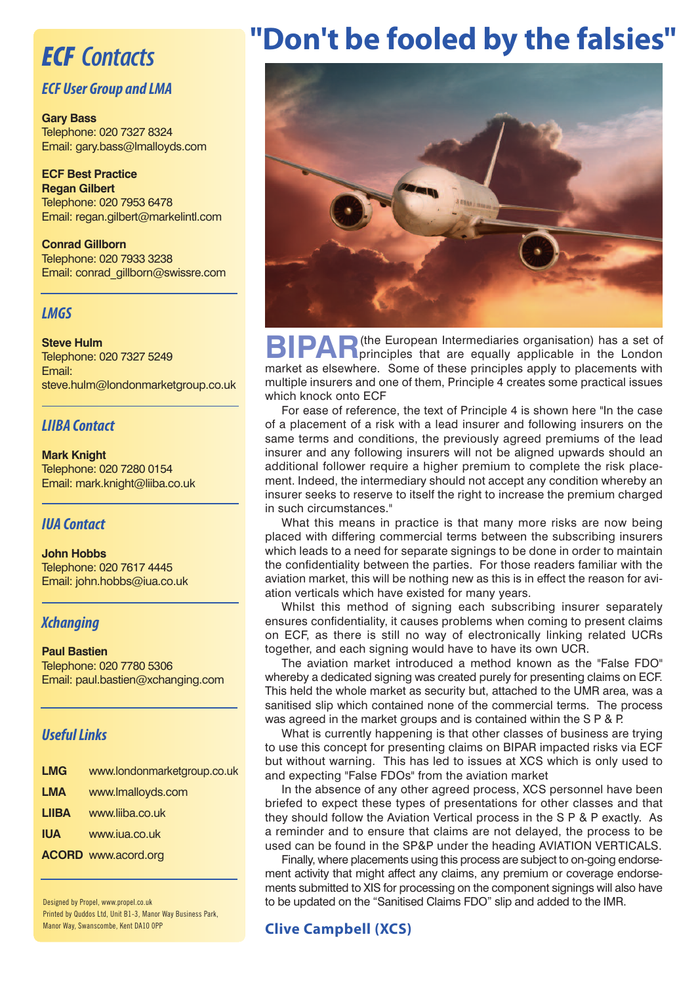### *ECF Contacts*

#### *ECF User Group and LMA*

**Gary Bass** Telephone: 020 7327 8324 Email: gary.bass@lmalloyds.com

**ECF Best Practice Regan Gilbert** Telephone: 020 7953 6478 Email: regan.gilbert@markelintl.com

**Conrad Gillborn** Telephone: 020 7933 3238 Email: conrad\_gillborn@swissre.com

#### *LMGS*

**Steve Hulm** Telephone: 020 7327 5249 Email: steve.hulm@londonmarketgroup.co.uk

#### *LIIBA Contact*

**Mark Knight** Telephone: 020 7280 0154 Email: mark.knight@liiba.co.uk

#### *IUA Contact*

**John Hobbs** Telephone: 020 7617 4445 Email: john.hobbs@iua.co.uk

#### *Xchanging*

#### **Paul Bastien** Telephone: 020 7780 5306 Email: paul.bastien@xchanging.com

#### **Useful Links**

| <b>LMG</b>   | www.londonmarketgroup.co.uk |
|--------------|-----------------------------|
| <b>LMA</b>   | www.lmalloyds.com           |
| <b>LIIBA</b> | www.liiba.co.uk             |
| <b>IUA</b>   | www.jua.co.uk               |
|              | <b>ACORD</b> www.acord.org  |
|              |                             |

Designed by Propel, www.propel.co.uk Printed by Quddos Ltd, Unit B1-3, Manor Way Business Park, Manor Way, Swanscombe, Kent DA10 0PP

## **"Don't be fooled by the falsies"**



**BIPAR**(the European Intermediaries organisation) has a set of the London principles that are equally applicable in the London market as elsewhere. Some of these principles apply to placements with multiple insurers and one of them, Principle 4 creates some practical issues which knock onto ECF

For ease of reference, the text of Principle 4 is shown here "In the case of a placement of a risk with a lead insurer and following insurers on the same terms and conditions, the previously agreed premiums of the lead insurer and any following insurers will not be aligned upwards should an additional follower require a higher premium to complete the risk placement. Indeed, the intermediary should not accept any condition whereby an insurer seeks to reserve to itself the right to increase the premium charged in such circumstances."

What this means in practice is that many more risks are now being placed with differing commercial terms between the subscribing insurers which leads to a need for separate signings to be done in order to maintain the confidentiality between the parties. For those readers familiar with the aviation market, this will be nothing new as this is in effect the reason for aviation verticals which have existed for many years.

Whilst this method of signing each subscribing insurer separately ensures confidentiality, it causes problems when coming to present claims on ECF, as there is still no way of electronically linking related UCRs together, and each signing would have to have its own UCR.

The aviation market introduced a method known as the "False FDO" whereby a dedicated signing was created purely for presenting claims on ECF. This held the whole market as security but, attached to the UMR area, was a sanitised slip which contained none of the commercial terms. The process was agreed in the market groups and is contained within the S P & P.

What is currently happening is that other classes of business are trying to use this concept for presenting claims on BIPAR impacted risks via ECF but without warning. This has led to issues at XCS which is only used to and expecting "False FDOs" from the aviation market

In the absence of any other agreed process, XCS personnel have been briefed to expect these types of presentations for other classes and that they should follow the Aviation Vertical process in the S P & P exactly. As a reminder and to ensure that claims are not delayed, the process to be used can be found in the SP&P under the heading AVIATION VERTICALS.

Finally, where placements using this process are subject to on-going endorsement activity that might affect any claims, any premium or coverage endorsements submitted to XIS for processing on the component signings will also have to be updated on the "Sanitised Claims FDO" slip and added to the IMR.

#### **Clive Campbell (XCS)**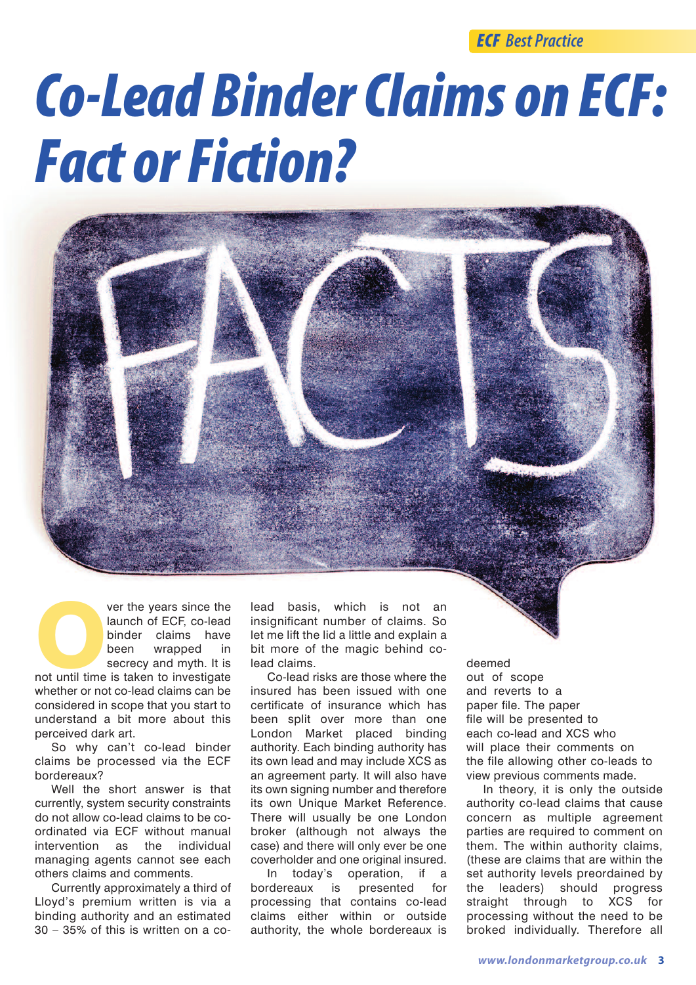*ECF Best Practice*

# **Co-Lead Binder Claims on ECF:** *Fact or Fiction?*



whether or not co-lead claims can be considered in scope that you start to understand a bit more about this perceived dark art.

So why can't co-lead binder claims be processed via the ECF bordereaux?

Well the short answer is that currently, system security constraints do not allow co-lead claims to be coordinated via ECF without manual intervention as the individual managing agents cannot see each others claims and comments.

Currently approximately a third of Lloyd's premium written is via a binding authority and an estimated 30 – 35% of this is written on a colead basis, which is not an insignificant number of claims. So let me lift the lid a little and explain a bit more of the magic behind colead claims.

Co-lead risks are those where the insured has been issued with one certificate of insurance which has been split over more than one London Market placed binding authority. Each binding authority has its own lead and may include XCS as an agreement party. It will also have its own signing number and therefore its own Unique Market Reference. There will usually be one London broker (although not always the case) and there will only ever be one coverholder and one original insured.

In today's operation, if a bordereaux is presented for processing that contains co-lead claims either within or outside authority, the whole bordereaux is

deemed out of scope and reverts to a paper file. The paper file will be presented to each co-lead and XCS who will place their comments on the file allowing other co-leads to view previous comments made.

In theory, it is only the outside authority co-lead claims that cause concern as multiple agreement parties are required to comment on them. The within authority claims, (these are claims that are within the set authority levels preordained by the leaders) should progress straight through to XCS for processing without the need to be broked individually. Therefore all